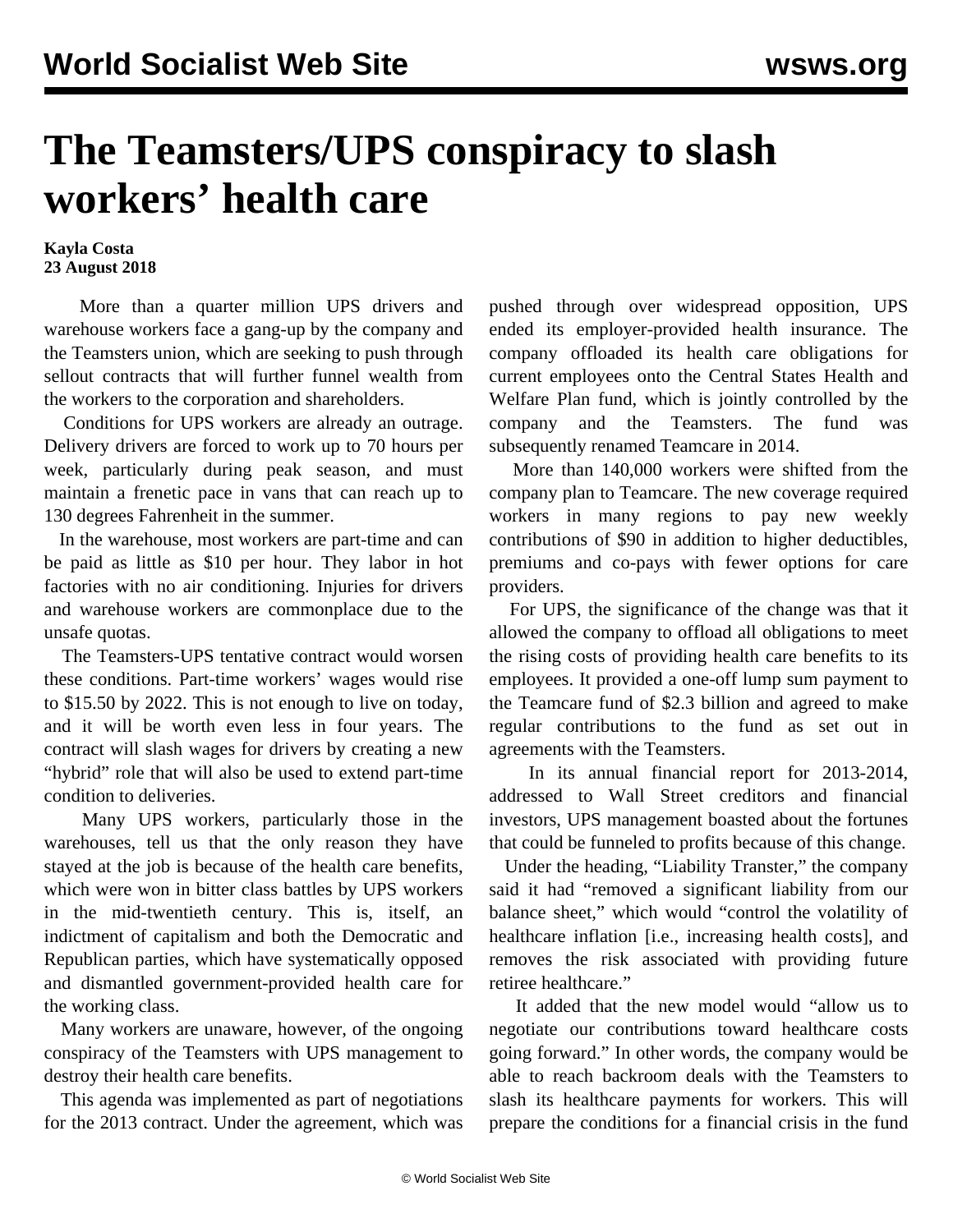## **The Teamsters/UPS conspiracy to slash workers' health care**

## **Kayla Costa 23 August 2018**

 More than a quarter million UPS drivers and warehouse workers face a gang-up by the company and the Teamsters union, which are seeking to push through sellout contracts that will further funnel wealth from the workers to the corporation and shareholders.

 Conditions for UPS workers are already an outrage. Delivery drivers are forced to work up to 70 hours per week, particularly during peak season, and must maintain a frenetic pace in vans that can reach up to 130 degrees Fahrenheit in the summer.

 In the warehouse, most workers are part-time and can be paid as little as \$10 per hour. They labor in hot factories with no air conditioning. Injuries for drivers and warehouse workers are commonplace due to the unsafe quotas.

 The Teamsters-UPS tentative contract would worsen these conditions. Part-time workers' wages would rise to \$15.50 by 2022. This is not enough to live on today, and it will be worth even less in four years. The contract will slash wages for drivers by creating a new "hybrid" role that will also be used to extend part-time condition to deliveries.

 Many UPS workers, particularly those in the warehouses, tell us that the only reason they have stayed at the job is because of the health care benefits, which were won in bitter class battles by UPS workers in the mid-twentieth century. This is, itself, an indictment of capitalism and both the Democratic and Republican parties, which have systematically opposed and dismantled government-provided health care for the working class.

 Many workers are unaware, however, of the ongoing conspiracy of the Teamsters with UPS management to destroy their health care benefits.

 This agenda was implemented as part of negotiations for the 2013 contract. Under the agreement, which was pushed through over widespread opposition, UPS ended its employer-provided health insurance. The company offloaded its health care obligations for current employees onto the Central States Health and Welfare Plan fund, which is jointly controlled by the company and the Teamsters. The fund was subsequently renamed Teamcare in 2014.

 More than 140,000 workers were shifted from the company plan to Teamcare. The new coverage required workers in many regions to pay new weekly contributions of \$90 in addition to higher deductibles, premiums and co-pays with fewer options for care providers.

 For UPS, the significance of the change was that it allowed the company to offload all obligations to meet the rising costs of providing health care benefits to its employees. It provided a one-off lump sum payment to the Teamcare fund of \$2.3 billion and agreed to make regular contributions to the fund as set out in agreements with the Teamsters.

 In its annual financial report for 2013-2014, addressed to Wall Street creditors and financial investors, UPS management boasted about the fortunes that could be funneled to profits because of this change.

 Under the heading, "Liability Transter," the company said it had "removed a significant liability from our balance sheet," which would "control the volatility of healthcare inflation [i.e., increasing health costs], and removes the risk associated with providing future retiree healthcare."

 It added that the new model would "allow us to negotiate our contributions toward healthcare costs going forward." In other words, the company would be able to reach backroom deals with the Teamsters to slash its healthcare payments for workers. This will prepare the conditions for a financial crisis in the fund